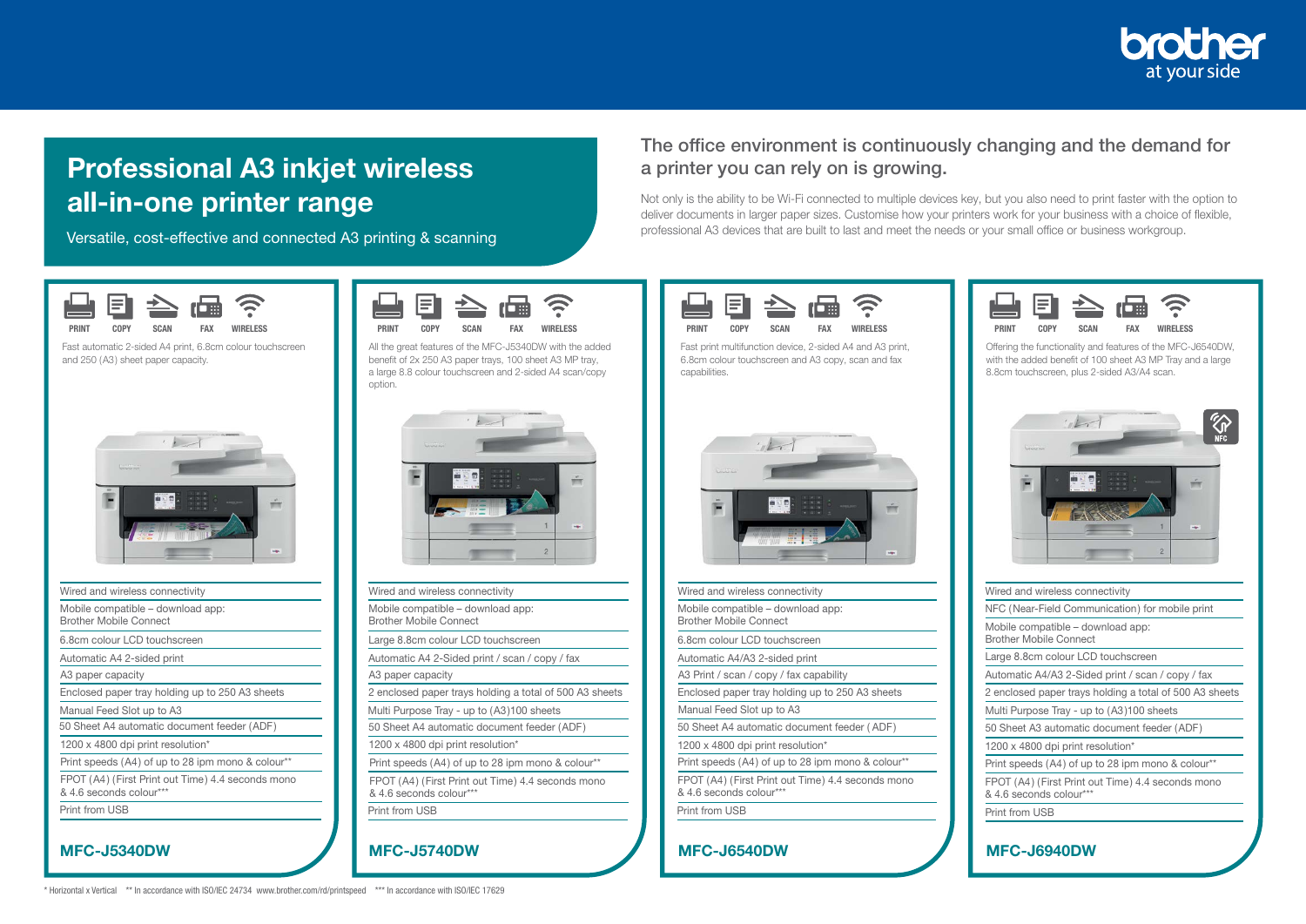

## Professional A3 inkjet wireless all-in-one printer range

Versatile, cost-effective and connected A3 printing & scanning

## The office environment is continuously changing and the demand for a printer you can rely on is growing.

Not only is the ability to be Wi-Fi connected to multiple devices key, but you also need to print faster with the option to deliver documents in larger paper sizes. Customise how your printers work for your business with a choice of flexible, professional A3 devices that are built to last and meet the needs or your small office or business workgroup.



MFC-J6540DW

& 4.6 seconds colour\*\*\* Print from USB

Wired and wireless connectivity Mobile compatible – download app: Brother Mobile Connect 6.8cm colour LCD touchscreen Automatic A4/A3 2-sided print A3 Print / scan / copy / fax capability

1200 x 4800 dpi print resolution\*

Manual Feed Slot up to A3

Enclosed paper tray holding up to 250 A3 sheets

50 Sheet A4 automatic document feeder ( ADF)

Print speeds (A4) of up to 28 ipm mono & colour\*\* FPOT (A4) (First Print out Time) 4.4 seconds mono

Fast print multifunction device, 2-sided A4 and A3 print, 6.8cm colour touchscreen and A3 copy, scan and fax capabilities.

| <b>RINT</b> | COPY | A <sub>N</sub> | <b>EAV</b> | <b>WIRELESS</b> |
|-------------|------|----------------|------------|-----------------|

Offering the functionality and features of the MFC-J6540DW, with the added benefit of 100 sheet A3 MP Tray and a large 8.8cm touchscreen, plus 2-sided A3/A4 scan.



| Wired and wireless connectivity                                    |                                                         |
|--------------------------------------------------------------------|---------------------------------------------------------|
|                                                                    | NFC (Near-Field Communication) for mobile print         |
| Mobile compatible - download app:<br><b>Brother Mobile Connect</b> |                                                         |
| Large 8.8cm colour LCD touchscreen                                 |                                                         |
|                                                                    | Automatic A4/A3 2-Sided print / scan / copy / fax       |
|                                                                    | 2 enclosed paper trays holding a total of 500 A3 sheets |
|                                                                    | Multi Purpose Tray - up to (A3)100 sheets               |
|                                                                    | 50 Sheet A3 automatic document feeder (ADF)             |
| 1200 x 4800 dpi print resolution*                                  |                                                         |
|                                                                    | Print speeds (A4) of up to 28 ipm mono & colour**       |
| & 4.6 seconds colour***                                            | FPOT (A4) (First Print out Time) 4.4 seconds mono       |
| Print from USB                                                     |                                                         |

MFC-J6940DW



Fast automatic 2-sided A4 print, 6.8cm colour touchscreen and 250 (A3) sheet paper capacity.



| Wired and wireless connectivity                                              |
|------------------------------------------------------------------------------|
| Mobile compatible - download app:<br><b>Brother Mobile Connect</b>           |
| 6.8cm colour LCD touchscreen                                                 |
| Automatic A4 2-sided print                                                   |
| A3 paper capacity                                                            |
| Enclosed paper tray holding up to 250 A3 sheets                              |
| Manual Feed Slot up to A3                                                    |
| 50 Sheet A4 automatic document feeder (ADF)                                  |
| 1200 x 4800 dpi print resolution*                                            |
| Print speeds (A4) of up to 28 ipm mono & colour**                            |
| FPOT (A4) (First Print out Time) 4.4 seconds mono<br>& 4.6 seconds colour*** |
| Print from USB                                                               |
|                                                                              |

\* Horizontal x Vertical \*\* In accordance with ISO/IEC 24734 www.brother.com/rd/printspeed \*\*\* In accordance with ISO/IEC 17629

MFC-J5340DW





| Wired and wireless connectivity                                              |  |
|------------------------------------------------------------------------------|--|
| Mobile compatible - download app:<br><b>Brother Mobile Connect</b>           |  |
| Large 8.8cm colour LCD touchscreen                                           |  |
| Automatic A4 2-Sided print / scan / copy / fax                               |  |
| A3 paper capacity                                                            |  |
| 2 enclosed paper trays holding a total of 500 A3 sheets                      |  |
| Multi Purpose Tray - up to (A3)100 sheets                                    |  |
| 50 Sheet A4 automatic document feeder (ADF)                                  |  |
| 1200 x 4800 dpi print resolution*                                            |  |
| Print speeds (A4) of up to 28 ipm mono & colour**                            |  |
| FPOT (A4) (First Print out Time) 4.4 seconds mono<br>& 4.6 seconds colour*** |  |
| Print from USB                                                               |  |

MFC-J5740DW